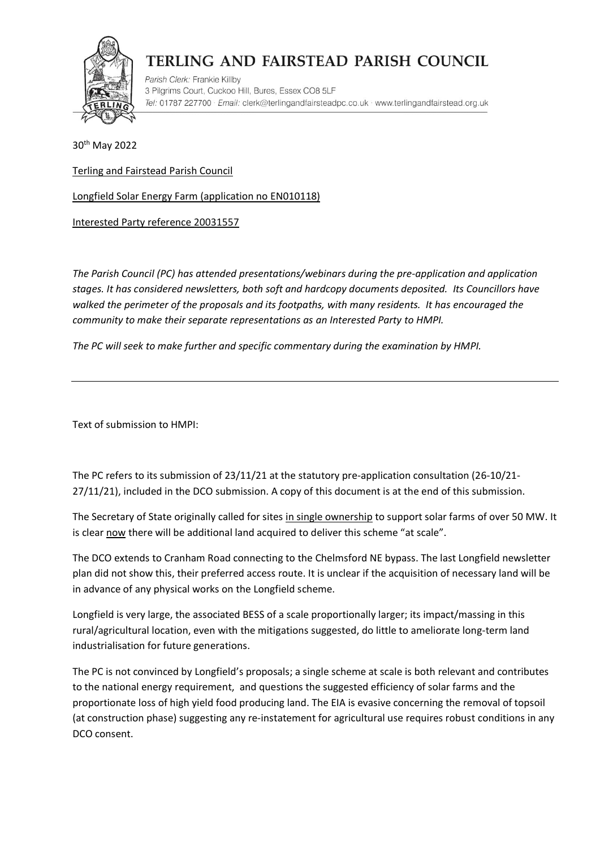

Parish Clerk: Frankie Killby 3 Pilgrims Court, Cuckoo Hill, Bures, Essex CO8 5LF Tel: 01787 227700 · Email: clerk@terlingandfairsteadpc.co.uk · www.terlingandfairstead.org.uk

30th May 2022

Terling and Fairstead Parish Council

Longfield Solar Energy Farm (application no EN010118)

Interested Party reference 20031557

*The Parish Council (PC) has attended presentations/webinars during the pre-application and application stages. It has considered newsletters, both soft and hardcopy documents deposited. Its Councillors have walked the perimeter of the proposals and its footpaths, with many residents. It has encouraged the community to make their separate representations as an Interested Party to HMPI.* 

*The PC will seek to make further and specific commentary during the examination by HMPI.*

Text of submission to HMPI:

The PC refers to its submission of 23/11/21 at the statutory pre-application consultation (26-10/21- 27/11/21), included in the DCO submission. A copy of this document is at the end of this submission.

The Secretary of State originally called for sites in single ownership to support solar farms of over 50 MW. It is clear now there will be additional land acquired to deliver this scheme "at scale".

The DCO extends to Cranham Road connecting to the Chelmsford NE bypass. The last Longfield newsletter plan did not show this, their preferred access route. It is unclear if the acquisition of necessary land will be in advance of any physical works on the Longfield scheme.

Longfield is very large, the associated BESS of a scale proportionally larger; its impact/massing in this rural/agricultural location, even with the mitigations suggested, do little to ameliorate long-term land industrialisation for future generations.

The PC is not convinced by Longfield's proposals; a single scheme at scale is both relevant and contributes to the national energy requirement, and questions the suggested efficiency of solar farms and the proportionate loss of high yield food producing land. The EIA is evasive concerning the removal of topsoil (at construction phase) suggesting any re-instatement for agricultural use requires robust conditions in any DCO consent.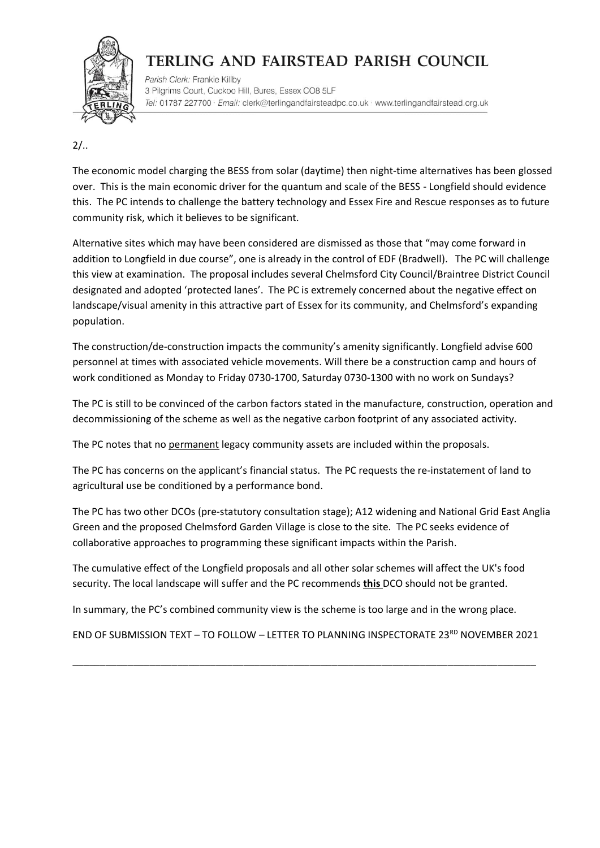

Parish Clerk: Frankie Killby 3 Pilgrims Court, Cuckoo Hill, Bures, Essex CO8 5LF Tel: 01787 227700 · Email: clerk@terlingandfairsteadpc.co.uk · www.terlingandfairstead.org.uk

## $2/$ ..

The economic model charging the BESS from solar (daytime) then night-time alternatives has been glossed over. This is the main economic driver for the quantum and scale of the BESS - Longfield should evidence this. The PC intends to challenge the battery technology and Essex Fire and Rescue responses as to future community risk, which it believes to be significant.

Alternative sites which may have been considered are dismissed as those that "may come forward in addition to Longfield in due course", one is already in the control of EDF (Bradwell). The PC will challenge this view at examination. The proposal includes several Chelmsford City Council/Braintree District Council designated and adopted 'protected lanes'. The PC is extremely concerned about the negative effect on landscape/visual amenity in this attractive part of Essex for its community, and Chelmsford's expanding population.

The construction/de-construction impacts the community's amenity significantly. Longfield advise 600 personnel at times with associated vehicle movements. Will there be a construction camp and hours of work conditioned as Monday to Friday 0730-1700, Saturday 0730-1300 with no work on Sundays?

The PC is still to be convinced of the carbon factors stated in the manufacture, construction, operation and decommissioning of the scheme as well as the negative carbon footprint of any associated activity.

The PC notes that no permanent legacy community assets are included within the proposals.

The PC has concerns on the applicant's financial status. The PC requests the re-instatement of land to agricultural use be conditioned by a performance bond.

The PC has two other DCOs (pre-statutory consultation stage); A12 widening and National Grid East Anglia Green and the proposed Chelmsford Garden Village is close to the site. The PC seeks evidence of collaborative approaches to programming these significant impacts within the Parish.

The cumulative effect of the Longfield proposals and all other solar schemes will affect the UK's food security. The local landscape will suffer and the PC recommends **this** DCO should not be granted.

In summary, the PC's combined community view is the scheme is too large and in the wrong place.

END OF SUBMISSION TEXT - TO FOLLOW - LETTER TO PLANNING INSPECTORATE 23<sup>RD</sup> NOVEMBER 2021

\_\_\_\_\_\_\_\_\_\_\_\_\_\_\_\_\_\_\_\_\_\_\_\_\_\_\_\_\_\_\_\_\_\_\_\_\_\_\_\_\_\_\_\_\_\_\_\_\_\_\_\_\_\_\_\_\_\_\_\_\_\_\_\_\_\_\_\_\_\_\_\_\_\_\_\_\_\_\_\_\_\_\_\_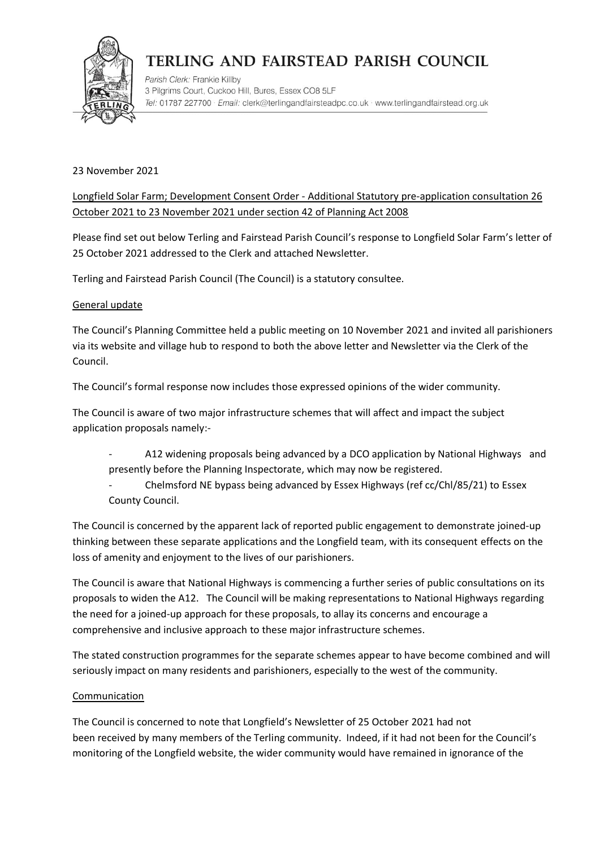

Parish Clerk: Frankie Killby 3 Pilgrims Court, Cuckoo Hill, Bures, Essex CO8 5LF Tel: 01787 227700 · Email: clerk@terlingandfairsteadpc.co.uk · www.terlingandfairstead.org.uk

#### 23 November 2021

Longfield Solar Farm; Development Consent Order - Additional Statutory pre-application consultation 26 October 2021 to 23 November 2021 under section 42 of Planning Act 2008

Please find set out below Terling and Fairstead Parish Council's response to Longfield Solar Farm's letter of 25 October 2021 addressed to the Clerk and attached Newsletter.

Terling and Fairstead Parish Council (The Council) is a statutory consultee.

#### General update

The Council's Planning Committee held a public meeting on 10 November 2021 and invited all parishioners via its website and village hub to respond to both the above letter and Newsletter via the Clerk of the Council.

The Council's formal response now includes those expressed opinions of the wider community.

The Council is aware of two major infrastructure schemes that will affect and impact the subject application proposals namely:-

- A12 widening proposals being advanced by a DCO application by National Highways and presently before the Planning Inspectorate, which may now be registered.
- Chelmsford NE bypass being advanced by Essex Highways (ref cc/Chl/85/21) to Essex County Council.

The Council is concerned by the apparent lack of reported public engagement to demonstrate joined-up thinking between these separate applications and the Longfield team, with its consequent effects on the loss of amenity and enjoyment to the lives of our parishioners.

The Council is aware that National Highways is commencing a further series of public consultations on its proposals to widen the A12. The Council will be making representations to National Highways regarding the need for a joined-up approach for these proposals, to allay its concerns and encourage a comprehensive and inclusive approach to these major infrastructure schemes.

The stated construction programmes for the separate schemes appear to have become combined and will seriously impact on many residents and parishioners, especially to the west of the community.

#### **Communication**

The Council is concerned to note that Longfield's Newsletter of 25 October 2021 had not been received by many members of the Terling community. Indeed, if it had not been for the Council's monitoring of the Longfield website, the wider community would have remained in ignorance of the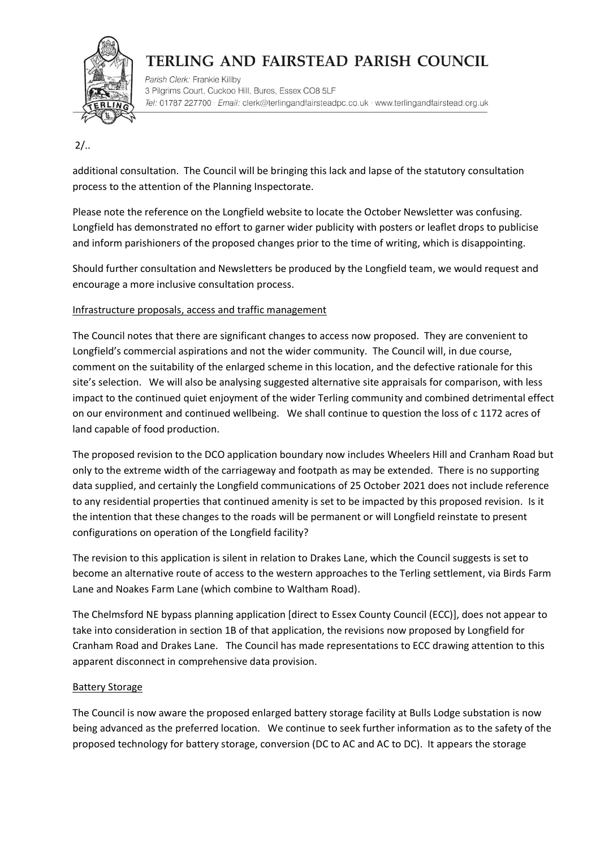

Parish Clerk: Frankie Killby 3 Pilgrims Court, Cuckoo Hill, Bures, Essex CO8 5LF Tel: 01787 227700 · Email: clerk@terlingandfairsteadpc.co.uk · www.terlingandfairstead.org.uk

## $2/$ ..

additional consultation. The Council will be bringing this lack and lapse of the statutory consultation process to the attention of the Planning Inspectorate.

Please note the reference on the Longfield website to locate the October Newsletter was confusing. Longfield has demonstrated no effort to garner wider publicity with posters or leaflet drops to publicise and inform parishioners of the proposed changes prior to the time of writing, which is disappointing.

Should further consultation and Newsletters be produced by the Longfield team, we would request and encourage a more inclusive consultation process.

### Infrastructure proposals, access and traffic management

The Council notes that there are significant changes to access now proposed. They are convenient to Longfield's commercial aspirations and not the wider community. The Council will, in due course, comment on the suitability of the enlarged scheme in this location, and the defective rationale for this site's selection. We will also be analysing suggested alternative site appraisals for comparison, with less impact to the continued quiet enjoyment of the wider Terling community and combined detrimental effect on our environment and continued wellbeing. We shall continue to question the loss of c 1172 acres of land capable of food production.

The proposed revision to the DCO application boundary now includes Wheelers Hill and Cranham Road but only to the extreme width of the carriageway and footpath as may be extended. There is no supporting data supplied, and certainly the Longfield communications of 25 October 2021 does not include reference to any residential properties that continued amenity is set to be impacted by this proposed revision. Is it the intention that these changes to the roads will be permanent or will Longfield reinstate to present configurations on operation of the Longfield facility?

The revision to this application is silent in relation to Drakes Lane, which the Council suggests is set to become an alternative route of access to the western approaches to the Terling settlement, via Birds Farm Lane and Noakes Farm Lane (which combine to Waltham Road).

The Chelmsford NE bypass planning application [direct to Essex County Council (ECC)], does not appear to take into consideration in section 1B of that application, the revisions now proposed by Longfield for Cranham Road and Drakes Lane. The Council has made representations to ECC drawing attention to this apparent disconnect in comprehensive data provision.

### Battery Storage

The Council is now aware the proposed enlarged battery storage facility at Bulls Lodge substation is now being advanced as the preferred location. We continue to seek further information as to the safety of the proposed technology for battery storage, conversion (DC to AC and AC to DC). It appears the storage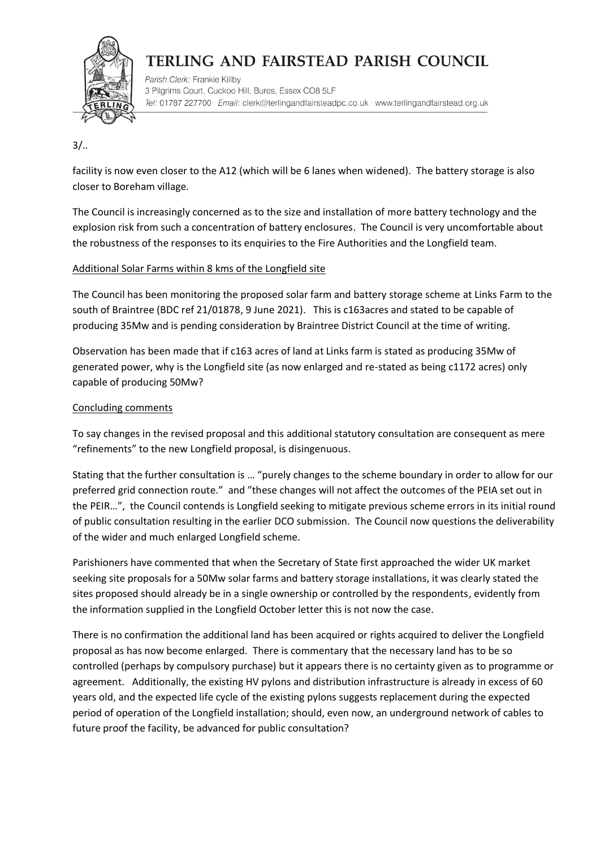

Parish Clerk: Frankie Killby 3 Pilgrims Court, Cuckoo Hill, Bures, Essex CO8 5LF Tel: 01787 227700 · Email: clerk@terlingandfairsteadpc.co.uk · www.terlingandfairstead.org.uk

### $3/$ ..

facility is now even closer to the A12 (which will be 6 lanes when widened). The battery storage is also closer to Boreham village.

The Council is increasingly concerned as to the size and installation of more battery technology and the explosion risk from such a concentration of battery enclosures. The Council is very uncomfortable about the robustness of the responses to its enquiries to the Fire Authorities and the Longfield team.

### Additional Solar Farms within 8 kms of the Longfield site

The Council has been monitoring the proposed solar farm and battery storage scheme at Links Farm to the south of Braintree (BDC ref 21/01878, 9 June 2021). This is c163acres and stated to be capable of producing 35Mw and is pending consideration by Braintree District Council at the time of writing.

Observation has been made that if c163 acres of land at Links farm is stated as producing 35Mw of generated power, why is the Longfield site (as now enlarged and re-stated as being c1172 acres) only capable of producing 50Mw?

### Concluding comments

To say changes in the revised proposal and this additional statutory consultation are consequent as mere "refinements" to the new Longfield proposal, is disingenuous.

Stating that the further consultation is … "purely changes to the scheme boundary in order to allow for our preferred grid connection route." and "these changes will not affect the outcomes of the PEIA set out in the PEIR…", the Council contends is Longfield seeking to mitigate previous scheme errors in its initial round of public consultation resulting in the earlier DCO submission. The Council now questions the deliverability of the wider and much enlarged Longfield scheme.

Parishioners have commented that when the Secretary of State first approached the wider UK market seeking site proposals for a 50Mw solar farms and battery storage installations, it was clearly stated the sites proposed should already be in a single ownership or controlled by the respondents, evidently from the information supplied in the Longfield October letter this is not now the case.

There is no confirmation the additional land has been acquired or rights acquired to deliver the Longfield proposal as has now become enlarged. There is commentary that the necessary land has to be so controlled (perhaps by compulsory purchase) but it appears there is no certainty given as to programme or agreement. Additionally, the existing HV pylons and distribution infrastructure is already in excess of 60 years old, and the expected life cycle of the existing pylons suggests replacement during the expected period of operation of the Longfield installation; should, even now, an underground network of cables to future proof the facility, be advanced for public consultation?